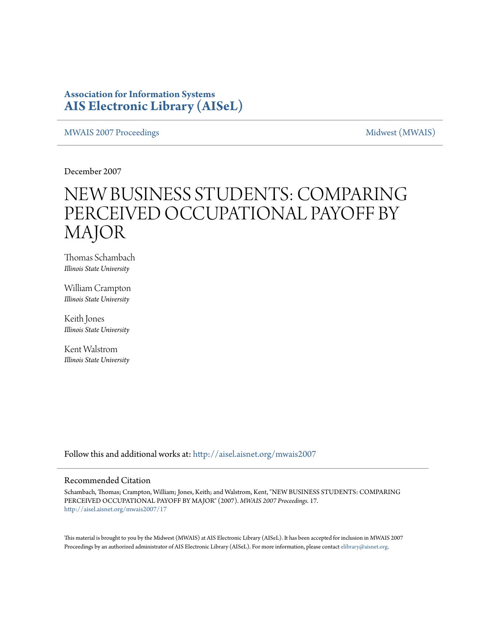### **Association for Information Systems [AIS Electronic Library \(AISeL\)](http://aisel.aisnet.org?utm_source=aisel.aisnet.org%2Fmwais2007%2F17&utm_medium=PDF&utm_campaign=PDFCoverPages)**

[MWAIS 2007 Proceedings](http://aisel.aisnet.org/mwais2007?utm_source=aisel.aisnet.org%2Fmwais2007%2F17&utm_medium=PDF&utm_campaign=PDFCoverPages) and the matrix of the [Midwest \(MWAIS\)](http://aisel.aisnet.org/mwais?utm_source=aisel.aisnet.org%2Fmwais2007%2F17&utm_medium=PDF&utm_campaign=PDFCoverPages)

December 2007

# NEW BUSINESS STUDENTS: COMPARING PERCEIVED OCCUPATIONAL PAYOFF BY MAJOR

Thomas Schambach *Illinois State University*

William Crampton *Illinois State University*

Keith Jones *Illinois State University*

Kent Walstrom *Illinois State University*

Follow this and additional works at: [http://aisel.aisnet.org/mwais2007](http://aisel.aisnet.org/mwais2007?utm_source=aisel.aisnet.org%2Fmwais2007%2F17&utm_medium=PDF&utm_campaign=PDFCoverPages)

#### Recommended Citation

Schambach, Thomas; Crampton, William; Jones, Keith; and Walstrom, Kent, "NEW BUSINESS STUDENTS: COMPARING PERCEIVED OCCUPATIONAL PAYOFF BY MAJOR" (2007). *MWAIS 2007 Proceedings*. 17. [http://aisel.aisnet.org/mwais2007/17](http://aisel.aisnet.org/mwais2007/17?utm_source=aisel.aisnet.org%2Fmwais2007%2F17&utm_medium=PDF&utm_campaign=PDFCoverPages)

This material is brought to you by the Midwest (MWAIS) at AIS Electronic Library (AISeL). It has been accepted for inclusion in MWAIS 2007 Proceedings by an authorized administrator of AIS Electronic Library (AISeL). For more information, please contact [elibrary@aisnet.org](mailto:elibrary@aisnet.org%3E).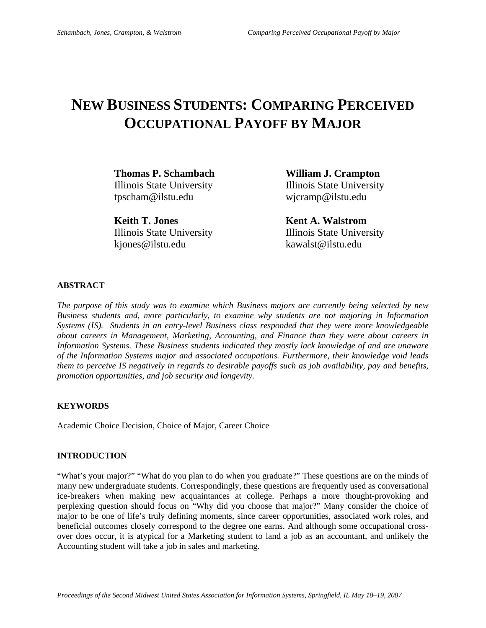## **NEW BUSINESS STUDENTS: COMPARING PERCEIVED OCCUPATIONAL PAYOFF BY MAJOR**

**Thomas P. Schambach William J. Crampton**  Illinois State University Illinois State University tpscham@ilstu.edu wjcramp@ilstu.edu

**Keith T. Jones Kent A. Walstrom** kjones@ilstu.edu kawalst@ilstu.edu

Illinois State University Illinois State University

#### **ABSTRACT**

*The purpose of this study was to examine which Business majors are currently being selected by new Business students and, more particularly, to examine why students are not majoring in Information Systems (IS). Students in an entry-level Business class responded that they were more knowledgeable about careers in Management, Marketing, Accounting, and Finance than they were about careers in Information Systems. These Business students indicated they mostly lack knowledge of and are unaware of the Information Systems major and associated occupations. Furthermore, their knowledge void leads them to perceive IS negatively in regards to desirable payoffs such as job availability, pay and benefits, promotion opportunities, and job security and longevity.* 

#### **KEYWORDS**

Academic Choice Decision, Choice of Major, Career Choice

#### **INTRODUCTION**

"What's your major?" "What do you plan to do when you graduate?" These questions are on the minds of many new undergraduate students. Correspondingly, these questions are frequently used as conversational ice-breakers when making new acquaintances at college. Perhaps a more thought-provoking and perplexing question should focus on "Why did you choose that major?" Many consider the choice of major to be one of life's truly defining moments, since career opportunities, associated work roles, and beneficial outcomes closely correspond to the degree one earns. And although some occupational crossover does occur, it is atypical for a Marketing student to land a job as an accountant, and unlikely the Accounting student will take a job in sales and marketing.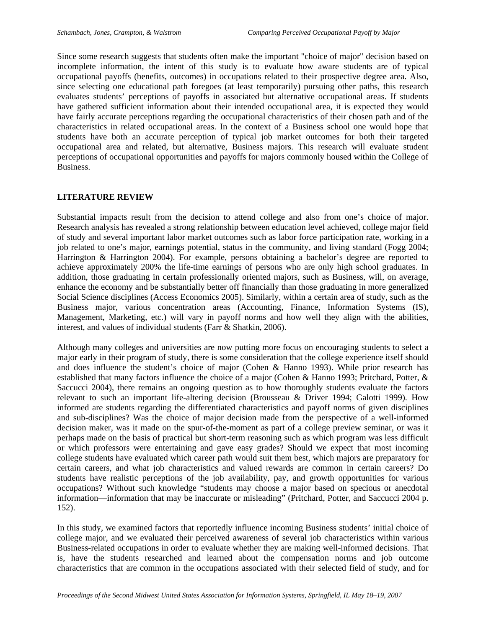Since some research suggests that students often make the important "choice of major" decision based on incomplete information, the intent of this study is to evaluate how aware students are of typical occupational payoffs (benefits, outcomes) in occupations related to their prospective degree area. Also, since selecting one educational path foregoes (at least temporarily) pursuing other paths, this research evaluates students' perceptions of payoffs in associated but alternative occupational areas. If students have gathered sufficient information about their intended occupational area, it is expected they would have fairly accurate perceptions regarding the occupational characteristics of their chosen path and of the characteristics in related occupational areas. In the context of a Business school one would hope that students have both an accurate perception of typical job market outcomes for both their targeted occupational area and related, but alternative, Business majors. This research will evaluate student perceptions of occupational opportunities and payoffs for majors commonly housed within the College of Business.

#### **LITERATURE REVIEW**

Substantial impacts result from the decision to attend college and also from one's choice of major. Research analysis has revealed a strong relationship between education level achieved, college major field of study and several important labor market outcomes such as labor force participation rate, working in a job related to one's major, earnings potential, status in the community, and living standard (Fogg 2004; Harrington & Harrington 2004). For example, persons obtaining a bachelor's degree are reported to achieve approximately 200% the life-time earnings of persons who are only high school graduates. In addition, those graduating in certain professionally oriented majors, such as Business, will, on average, enhance the economy and be substantially better off financially than those graduating in more generalized Social Science disciplines (Access Economics 2005). Similarly, within a certain area of study, such as the Business major, various concentration areas (Accounting, Finance, Information Systems (IS), Management, Marketing, etc.) will vary in payoff norms and how well they align with the abilities, interest, and values of individual students (Farr & Shatkin, 2006).

Although many colleges and universities are now putting more focus on encouraging students to select a major early in their program of study, there is some consideration that the college experience itself should and does influence the student's choice of major (Cohen & Hanno 1993). While prior research has established that many factors influence the choice of a major (Cohen & Hanno 1993; Pritchard, Potter, & Saccucci 2004), there remains an ongoing question as to how thoroughly students evaluate the factors relevant to such an important life-altering decision (Brousseau & Driver 1994; Galotti 1999). How informed are students regarding the differentiated characteristics and payoff norms of given disciplines and sub-disciplines? Was the choice of major decision made from the perspective of a well-informed decision maker, was it made on the spur-of-the-moment as part of a college preview seminar, or was it perhaps made on the basis of practical but short-term reasoning such as which program was less difficult or which professors were entertaining and gave easy grades? Should we expect that most incoming college students have evaluated which career path would suit them best, which majors are preparatory for certain careers, and what job characteristics and valued rewards are common in certain careers? Do students have realistic perceptions of the job availability, pay, and growth opportunities for various occupations? Without such knowledge "students may choose a major based on specious or anecdotal information—information that may be inaccurate or misleading" (Pritchard, Potter, and Saccucci 2004 p. 152).

In this study, we examined factors that reportedly influence incoming Business students' initial choice of college major, and we evaluated their perceived awareness of several job characteristics within various Business-related occupations in order to evaluate whether they are making well-informed decisions. That is, have the students researched and learned about the compensation norms and job outcome characteristics that are common in the occupations associated with their selected field of study, and for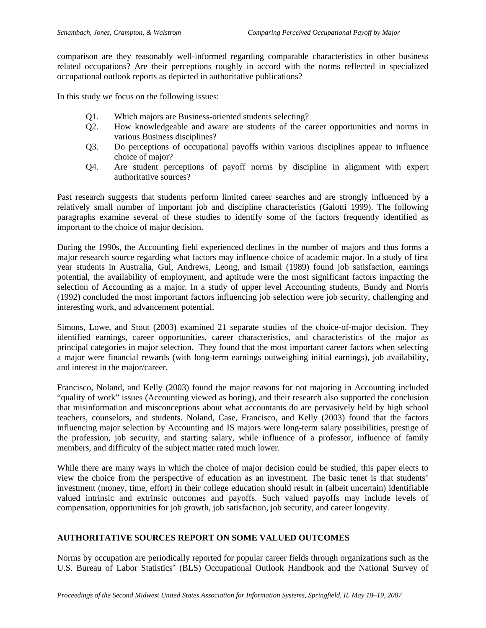comparison are they reasonably well-informed regarding comparable characteristics in other business related occupations? Are their perceptions roughly in accord with the norms reflected in specialized occupational outlook reports as depicted in authoritative publications?

In this study we focus on the following issues:

- Q1. Which majors are Business-oriented students selecting?
- Q2. How knowledgeable and aware are students of the career opportunities and norms in various Business disciplines?
- Q3. Do perceptions of occupational payoffs within various disciplines appear to influence choice of major?
- Q4. Are student perceptions of payoff norms by discipline in alignment with expert authoritative sources?

Past research suggests that students perform limited career searches and are strongly influenced by a relatively small number of important job and discipline characteristics (Galotti 1999). The following paragraphs examine several of these studies to identify some of the factors frequently identified as important to the choice of major decision.

During the 1990s, the Accounting field experienced declines in the number of majors and thus forms a major research source regarding what factors may influence choice of academic major. In a study of first year students in Australia, Gul, Andrews, Leong, and Ismail (1989) found job satisfaction, earnings potential, the availability of employment, and aptitude were the most significant factors impacting the selection of Accounting as a major. In a study of upper level Accounting students, Bundy and Norris (1992) concluded the most important factors influencing job selection were job security, challenging and interesting work, and advancement potential.

Simons, Lowe, and Stout (2003) examined 21 separate studies of the choice-of-major decision. They identified earnings, career opportunities, career characteristics, and characteristics of the major as principal categories in major selection. They found that the most important career factors when selecting a major were financial rewards (with long-term earnings outweighing initial earnings), job availability, and interest in the major/career.

Francisco, Noland, and Kelly (2003) found the major reasons for not majoring in Accounting included "quality of work" issues (Accounting viewed as boring), and their research also supported the conclusion that misinformation and misconceptions about what accountants do are pervasively held by high school teachers, counselors, and students. Noland, Case, Francisco, and Kelly (2003) found that the factors influencing major selection by Accounting and IS majors were long-term salary possibilities, prestige of the profession, job security, and starting salary, while influence of a professor, influence of family members, and difficulty of the subject matter rated much lower.

While there are many ways in which the choice of major decision could be studied, this paper elects to view the choice from the perspective of education as an investment. The basic tenet is that students' investment (money, time, effort) in their college education should result in (albeit uncertain) identifiable valued intrinsic and extrinsic outcomes and payoffs. Such valued payoffs may include levels of compensation, opportunities for job growth, job satisfaction, job security, and career longevity.

#### **AUTHORITATIVE SOURCES REPORT ON SOME VALUED OUTCOMES**

Norms by occupation are periodically reported for popular career fields through organizations such as the U.S. Bureau of Labor Statistics' (BLS) Occupational Outlook Handbook and the National Survey of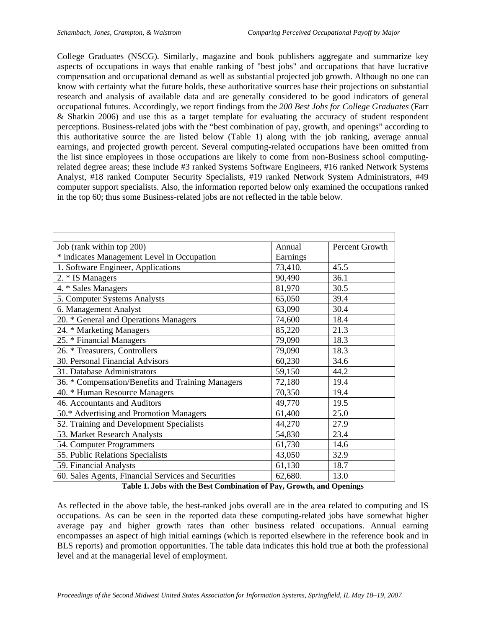College Graduates (NSCG). Similarly, magazine and book publishers aggregate and summarize key aspects of occupations in ways that enable ranking of "best jobs" and occupations that have lucrative compensation and occupational demand as well as substantial projected job growth. Although no one can know with certainty what the future holds, these authoritative sources base their projections on substantial research and analysis of available data and are generally considered to be good indicators of general occupational futures. Accordingly, we report findings from the *200 Best Jobs for College Graduates* (Farr & Shatkin 2006) and use this as a target template for evaluating the accuracy of student respondent perceptions. Business-related jobs with the "best combination of pay, growth, and openings" according to this authoritative source the are listed below (Table 1) along with the job ranking, average annual earnings, and projected growth percent. Several computing-related occupations have been omitted from the list since employees in those occupations are likely to come from non-Business school computingrelated degree areas; these include #3 ranked Systems Software Engineers, #16 ranked Network Systems Analyst, #18 ranked Computer Security Specialists, #19 ranked Network System Administrators, #49 computer support specialists. Also, the information reported below only examined the occupations ranked in the top 60; thus some Business-related jobs are not reflected in the table below.

| Job (rank within top 200)                           | Annual   | Percent Growth |
|-----------------------------------------------------|----------|----------------|
| * indicates Management Level in Occupation          | Earnings |                |
| 1. Software Engineer, Applications                  | 73,410.  | 45.5           |
| 2. * IS Managers                                    | 90,490   | 36.1           |
| 4. * Sales Managers                                 | 81,970   | 30.5           |
| 5. Computer Systems Analysts                        | 65,050   | 39.4           |
| 6. Management Analyst                               | 63,090   | 30.4           |
| 20. * General and Operations Managers               | 74,600   | 18.4           |
| 24. * Marketing Managers                            | 85,220   | 21.3           |
| 25. * Financial Managers                            | 79,090   | 18.3           |
| 26. * Treasurers, Controllers                       | 79,090   | 18.3           |
| 30. Personal Financial Advisors                     | 60,230   | 34.6           |
| 31. Database Administrators                         | 59,150   | 44.2           |
| 36. * Compensation/Benefits and Training Managers   | 72,180   | 19.4           |
| 40. * Human Resource Managers                       | 70,350   | 19.4           |
| 46. Accountants and Auditors                        | 49,770   | 19.5           |
| 50.* Advertising and Promotion Managers             | 61,400   | 25.0           |
| 52. Training and Development Specialists            | 44,270   | 27.9           |
| 53. Market Research Analysts                        | 54,830   | 23.4           |
| 54. Computer Programmers                            | 61,730   | 14.6           |
| 55. Public Relations Specialists                    | 43,050   | 32.9           |
| 59. Financial Analysts                              | 61,130   | 18.7           |
| 60. Sales Agents, Financial Services and Securities | 62,680.  | 13.0           |

#### **Table 1. Jobs with the Best Combination of Pay, Growth, and Openings**

As reflected in the above table, the best-ranked jobs overall are in the area related to computing and IS occupations. As can be seen in the reported data these computing-related jobs have somewhat higher average pay and higher growth rates than other business related occupations. Annual earning encompasses an aspect of high initial earnings (which is reported elsewhere in the reference book and in BLS reports) and promotion opportunities. The table data indicates this hold true at both the professional level and at the managerial level of employment.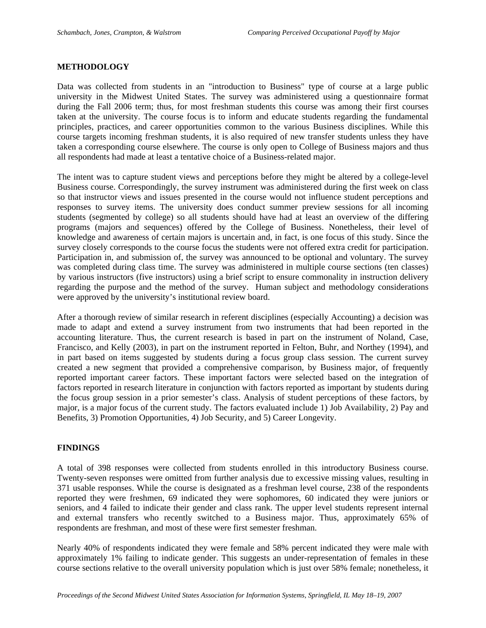#### **METHODOLOGY**

Data was collected from students in an "introduction to Business" type of course at a large public university in the Midwest United States. The survey was administered using a questionnaire format during the Fall 2006 term; thus, for most freshman students this course was among their first courses taken at the university. The course focus is to inform and educate students regarding the fundamental principles, practices, and career opportunities common to the various Business disciplines. While this course targets incoming freshman students, it is also required of new transfer students unless they have taken a corresponding course elsewhere. The course is only open to College of Business majors and thus all respondents had made at least a tentative choice of a Business-related major.

The intent was to capture student views and perceptions before they might be altered by a college-level Business course. Correspondingly, the survey instrument was administered during the first week on class so that instructor views and issues presented in the course would not influence student perceptions and responses to survey items. The university does conduct summer preview sessions for all incoming students (segmented by college) so all students should have had at least an overview of the differing programs (majors and sequences) offered by the College of Business. Nonetheless, their level of knowledge and awareness of certain majors is uncertain and, in fact, is one focus of this study. Since the survey closely corresponds to the course focus the students were not offered extra credit for participation. Participation in, and submission of, the survey was announced to be optional and voluntary. The survey was completed during class time. The survey was administered in multiple course sections (ten classes) by various instructors (five instructors) using a brief script to ensure commonality in instruction delivery regarding the purpose and the method of the survey. Human subject and methodology considerations were approved by the university's institutional review board.

After a thorough review of similar research in referent disciplines (especially Accounting) a decision was made to adapt and extend a survey instrument from two instruments that had been reported in the accounting literature. Thus, the current research is based in part on the instrument of Noland, Case, Francisco, and Kelly (2003), in part on the instrument reported in Felton, Buhr, and Northey (1994), and in part based on items suggested by students during a focus group class session. The current survey created a new segment that provided a comprehensive comparison, by Business major, of frequently reported important career factors. These important factors were selected based on the integration of factors reported in research literature in conjunction with factors reported as important by students during the focus group session in a prior semester's class. Analysis of student perceptions of these factors, by major, is a major focus of the current study. The factors evaluated include 1) Job Availability, 2) Pay and Benefits, 3) Promotion Opportunities, 4) Job Security, and 5) Career Longevity.

#### **FINDINGS**

A total of 398 responses were collected from students enrolled in this introductory Business course. Twenty-seven responses were omitted from further analysis due to excessive missing values, resulting in 371 usable responses. While the course is designated as a freshman level course, 238 of the respondents reported they were freshmen, 69 indicated they were sophomores, 60 indicated they were juniors or seniors, and 4 failed to indicate their gender and class rank. The upper level students represent internal and external transfers who recently switched to a Business major. Thus, approximately 65% of respondents are freshman, and most of these were first semester freshman.

Nearly 40% of respondents indicated they were female and 58% percent indicated they were male with approximately 1% failing to indicate gender. This suggests an under-representation of females in these course sections relative to the overall university population which is just over 58% female; nonetheless, it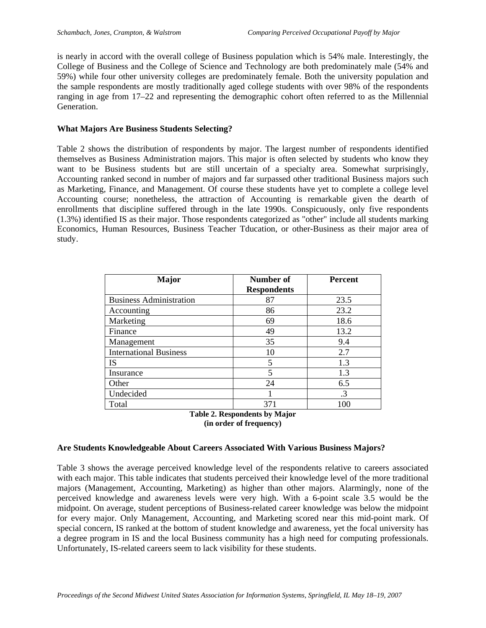is nearly in accord with the overall college of Business population which is 54% male. Interestingly, the College of Business and the College of Science and Technology are both predominately male (54% and 59%) while four other university colleges are predominately female. Both the university population and the sample respondents are mostly traditionally aged college students with over 98% of the respondents ranging in age from 17–22 and representing the demographic cohort often referred to as the Millennial Generation.

#### **What Majors Are Business Students Selecting?**

Table 2 shows the distribution of respondents by major. The largest number of respondents identified themselves as Business Administration majors. This major is often selected by students who know they want to be Business students but are still uncertain of a specialty area. Somewhat surprisingly, Accounting ranked second in number of majors and far surpassed other traditional Business majors such as Marketing, Finance, and Management. Of course these students have yet to complete a college level Accounting course; nonetheless, the attraction of Accounting is remarkable given the dearth of enrollments that discipline suffered through in the late 1990s. Conspicuously, only five respondents (1.3%) identified IS as their major. Those respondents categorized as "other" include all students marking Economics, Human Resources, Business Teacher Tducation, or other-Business as their major area of study.

| <b>Major</b>                   | Number of<br><b>Respondents</b> | <b>Percent</b> |
|--------------------------------|---------------------------------|----------------|
| <b>Business Administration</b> | 87                              | 23.5           |
| Accounting                     | 86                              | 23.2           |
| Marketing                      | 69                              | 18.6           |
| Finance                        | 49                              | 13.2           |
| Management                     | 35                              | 9.4            |
| <b>International Business</b>  | 10                              | 2.7            |
| IS                             | 5                               | 1.3            |
| Insurance                      | 5                               | 1.3            |
| Other                          | 24                              | 6.5            |
| Undecided                      |                                 | $\cdot$ 3      |
| Total<br><b>musican</b>        | 371<br>.                        | 100            |



#### **Are Students Knowledgeable About Careers Associated With Various Business Majors?**

Table 3 shows the average perceived knowledge level of the respondents relative to careers associated with each major. This table indicates that students perceived their knowledge level of the more traditional majors (Management, Accounting, Marketing) as higher than other majors. Alarmingly, none of the perceived knowledge and awareness levels were very high. With a 6-point scale 3.5 would be the midpoint. On average, student perceptions of Business-related career knowledge was below the midpoint for every major. Only Management, Accounting, and Marketing scored near this mid-point mark. Of special concern, IS ranked at the bottom of student knowledge and awareness, yet the focal university has a degree program in IS and the local Business community has a high need for computing professionals. Unfortunately, IS-related careers seem to lack visibility for these students.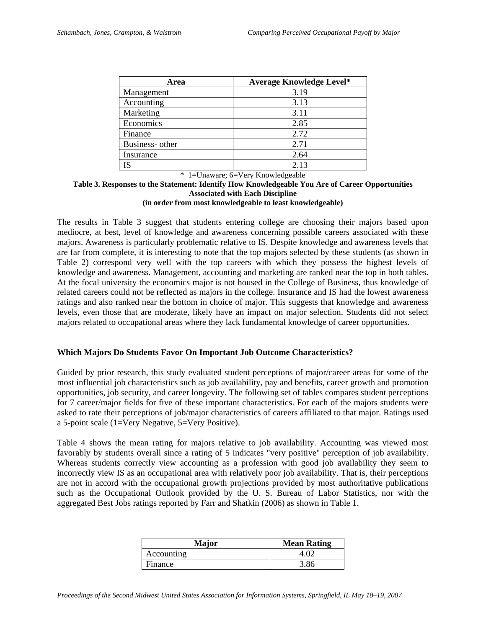| Area            | <b>Average Knowledge Level*</b> |
|-----------------|---------------------------------|
| Management      | 3.19                            |
| Accounting      | 3.13                            |
| Marketing       | 3.11                            |
| Economics       | 2.85                            |
| Finance         | 2.72                            |
| Business- other | 2.71                            |
| Insurance       | 2.64                            |
| IS              | 2.13                            |

\* 1=Unaware; 6=Very Knowledgeable

#### **Table 3. Responses to the Statement: Identify How Knowledgeable You Are of Career Opportunities Associated with Each Discipline (in order from most knowledgeable to least knowledgeable)**

The results in Table 3 suggest that students entering college are choosing their majors based upon mediocre, at best, level of knowledge and awareness concerning possible careers associated with these majors. Awareness is particularly problematic relative to IS. Despite knowledge and awareness levels that are far from complete, it is interesting to note that the top majors selected by these students (as shown in Table 2) correspond very well with the top careers with which they possess the highest levels of knowledge and awareness. Management, accounting and marketing are ranked near the top in both tables. At the focal university the economics major is not housed in the College of Business, thus knowledge of related careers could not be reflected as majors in the college. Insurance and IS had the lowest awareness ratings and also ranked near the bottom in choice of major. This suggests that knowledge and awareness levels, even those that are moderate, likely have an impact on major selection. Students did not select majors related to occupational areas where they lack fundamental knowledge of career opportunities.

#### **Which Majors Do Students Favor On Important Job Outcome Characteristics?**

Guided by prior research, this study evaluated student perceptions of major/career areas for some of the most influential job characteristics such as job availability, pay and benefits, career growth and promotion opportunities, job security, and career longevity. The following set of tables compares student perceptions for 7 career/major fields for five of these important characteristics. For each of the majors students were asked to rate their perceptions of job/major characteristics of careers affiliated to that major. Ratings used a 5-point scale (1=Very Negative, 5=Very Positive).

Table 4 shows the mean rating for majors relative to job availability. Accounting was viewed most favorably by students overall since a rating of 5 indicates "very positive" perception of job availability. Whereas students correctly view accounting as a profession with good job availability they seem to incorrectly view IS as an occupational area with relatively poor job availability. That is, their perceptions are not in accord with the occupational growth projections provided by most authoritative publications such as the Occupational Outlook provided by the U. S. Bureau of Labor Statistics, nor with the aggregated Best Jobs ratings reported by Farr and Shatkin (2006) as shown in Table 1.

| <b>Major</b> | <b>Mean Rating</b> |
|--------------|--------------------|
| Accounting   |                    |
| Finance      | 3.86               |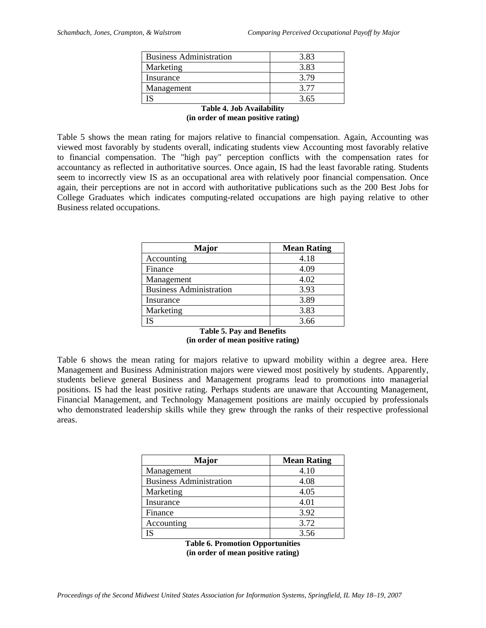| <b>Business Administration</b> | 3.83 |
|--------------------------------|------|
| Marketing                      | 3.83 |
| Insurance                      | 3.79 |
| Management                     | 3 77 |
| S                              | 3.65 |

**Table 4. Job Availability (in order of mean positive rating)** 

Table 5 shows the mean rating for majors relative to financial compensation. Again, Accounting was viewed most favorably by students overall, indicating students view Accounting most favorably relative to financial compensation. The "high pay" perception conflicts with the compensation rates for accountancy as reflected in authoritative sources. Once again, IS had the least favorable rating. Students seem to incorrectly view IS as an occupational area with relatively poor financial compensation. Once again, their perceptions are not in accord with authoritative publications such as the 200 Best Jobs for College Graduates which indicates computing-related occupations are high paying relative to other Business related occupations.

| Major                          | <b>Mean Rating</b> |
|--------------------------------|--------------------|
| Accounting                     | 4.18               |
| Finance                        | 4.09               |
| Management                     | 4.02               |
| <b>Business Administration</b> | 3.93               |
| Insurance                      | 3.89               |
| Marketing                      | 3.83               |
|                                | 3.66               |

| <b>Table 5. Pay and Benefits</b>   |  |  |  |
|------------------------------------|--|--|--|
| (in order of mean positive rating) |  |  |  |

Table 6 shows the mean rating for majors relative to upward mobility within a degree area. Here Management and Business Administration majors were viewed most positively by students. Apparently, students believe general Business and Management programs lead to promotions into managerial positions. IS had the least positive rating. Perhaps students are unaware that Accounting Management, Financial Management, and Technology Management positions are mainly occupied by professionals who demonstrated leadership skills while they grew through the ranks of their respective professional areas.

| <b>Major</b>                   | <b>Mean Rating</b> |
|--------------------------------|--------------------|
| Management                     | 4.10               |
| <b>Business Administration</b> | 4.08               |
| Marketing                      | 4.05               |
| Insurance                      | 4.01               |
| Finance                        | 3.92               |
| Accounting                     | 3.72               |
|                                | 3.56               |

**Table 6. Promotion Opportunities (in order of mean positive rating)**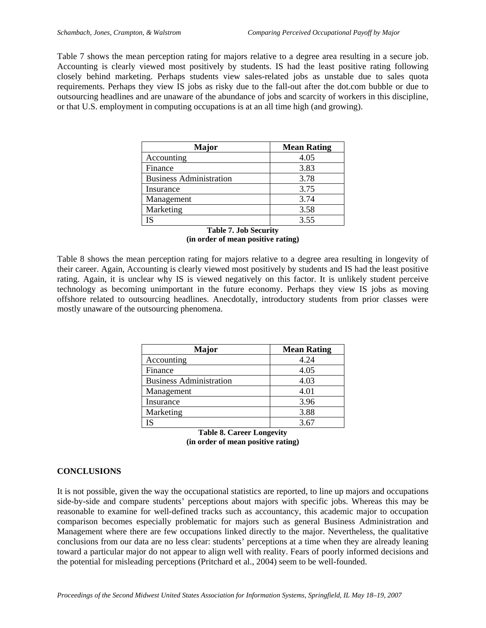Table 7 shows the mean perception rating for majors relative to a degree area resulting in a secure job. Accounting is clearly viewed most positively by students. IS had the least positive rating following closely behind marketing. Perhaps students view sales-related jobs as unstable due to sales quota requirements. Perhaps they view IS jobs as risky due to the fall-out after the dot.com bubble or due to outsourcing headlines and are unaware of the abundance of jobs and scarcity of workers in this discipline, or that U.S. employment in computing occupations is at an all time high (and growing).

| <b>Major</b>                   | <b>Mean Rating</b> |
|--------------------------------|--------------------|
| Accounting                     | 4.05               |
| Finance                        | 3.83               |
| <b>Business Administration</b> | 3.78               |
| Insurance                      | 3.75               |
| Management                     | 3.74               |
| Marketing                      | 3.58               |
| IS                             | 3.55               |

| <b>Table 7. Job Security</b>       |  |  |  |
|------------------------------------|--|--|--|
| (in order of mean positive rating) |  |  |  |

Table 8 shows the mean perception rating for majors relative to a degree area resulting in longevity of their career. Again, Accounting is clearly viewed most positively by students and IS had the least positive rating. Again, it is unclear why IS is viewed negatively on this factor. It is unlikely student perceive technology as becoming unimportant in the future economy. Perhaps they view IS jobs as moving offshore related to outsourcing headlines. Anecdotally, introductory students from prior classes were mostly unaware of the outsourcing phenomena.

| <b>Major</b>                   | <b>Mean Rating</b> |
|--------------------------------|--------------------|
| Accounting                     | 4.24               |
| Finance                        | 4.05               |
| <b>Business Administration</b> | 4.03               |
| Management                     | 4.01               |
| Insurance                      | 3.96               |
| Marketing                      | 3.88               |
|                                | 3.67               |

|  |  | <b>Table 8. Career Longevity</b>   |  |
|--|--|------------------------------------|--|
|  |  | (in order of mean positive rating) |  |

#### **CONCLUSIONS**

It is not possible, given the way the occupational statistics are reported, to line up majors and occupations side-by-side and compare students' perceptions about majors with specific jobs. Whereas this may be reasonable to examine for well-defined tracks such as accountancy, this academic major to occupation comparison becomes especially problematic for majors such as general Business Administration and Management where there are few occupations linked directly to the major. Nevertheless, the qualitative conclusions from our data are no less clear: students' perceptions at a time when they are already leaning toward a particular major do not appear to align well with reality. Fears of poorly informed decisions and the potential for misleading perceptions (Pritchard et al., 2004) seem to be well-founded.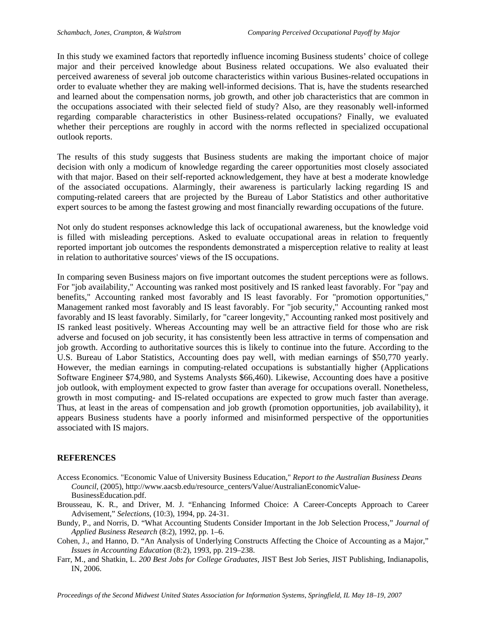In this study we examined factors that reportedly influence incoming Business students' choice of college major and their perceived knowledge about Business related occupations. We also evaluated their perceived awareness of several job outcome characteristics within various Busines-related occupations in order to evaluate whether they are making well-informed decisions. That is, have the students researched and learned about the compensation norms, job growth, and other job characteristics that are common in the occupations associated with their selected field of study? Also, are they reasonably well-informed regarding comparable characteristics in other Business-related occupations? Finally, we evaluated whether their perceptions are roughly in accord with the norms reflected in specialized occupational outlook reports.

The results of this study suggests that Business students are making the important choice of major decision with only a modicum of knowledge regarding the career opportunities most closely associated with that major. Based on their self-reported acknowledgement, they have at best a moderate knowledge of the associated occupations. Alarmingly, their awareness is particularly lacking regarding IS and computing-related careers that are projected by the Bureau of Labor Statistics and other authoritative expert sources to be among the fastest growing and most financially rewarding occupations of the future.

Not only do student responses acknowledge this lack of occupational awareness, but the knowledge void is filled with misleading perceptions. Asked to evaluate occupational areas in relation to frequently reported important job outcomes the respondents demonstrated a misperception relative to reality at least in relation to authoritative sources' views of the IS occupations.

In comparing seven Business majors on five important outcomes the student perceptions were as follows. For "job availability," Accounting was ranked most positively and IS ranked least favorably. For "pay and benefits," Accounting ranked most favorably and IS least favorably. For "promotion opportunities," Management ranked most favorably and IS least favorably. For "job security," Accounting ranked most favorably and IS least favorably. Similarly, for "career longevity," Accounting ranked most positively and IS ranked least positively. Whereas Accounting may well be an attractive field for those who are risk adverse and focused on job security, it has consistently been less attractive in terms of compensation and job growth. According to authoritative sources this is likely to continue into the future. According to the U.S. Bureau of Labor Statistics, Accounting does pay well, with median earnings of \$50,770 yearly. However, the median earnings in computing-related occupations is substantially higher (Applications Software Engineer \$74,980, and Systems Analysts \$66,460). Likewise, Accounting does have a positive job outlook, with employment expected to grow faster than average for occupations overall. Nonetheless, growth in most computing- and IS-related occupations are expected to grow much faster than average. Thus, at least in the areas of compensation and job growth (promotion opportunities, job availability), it appears Business students have a poorly informed and misinformed perspective of the opportunities associated with IS majors.

#### **REFERENCES**

- Access Economics. "Economic Value of University Business Education," *Report to the Australian Business Deans Council*, (2005), http://www.aacsb.edu/resource\_centers/Value/AustralianEconomicValue-BusinessEducation.pdf.
- Brousseau, K. R., and Driver, M. J. "Enhancing Informed Choice: A Career-Concepts Approach to Career Advisement," *Selections*, (10:3), 1994, pp. 24-31.
- Bundy, P., and Norris, D. "What Accounting Students Consider Important in the Job Selection Process," *Journal of Applied Business Research* (8:2), 1992, pp. 1–6.
- Cohen, J., and Hanno, D. "An Analysis of Underlying Constructs Affecting the Choice of Accounting as a Major," *Issues in Accounting Education* (8*:*2), 1993, pp. 219–238.
- Farr, M., and Shatkin, L. *200 Best Jobs for College Graduates*, JIST Best Job Series, JIST Publishing, Indianapolis, IN, 2006.